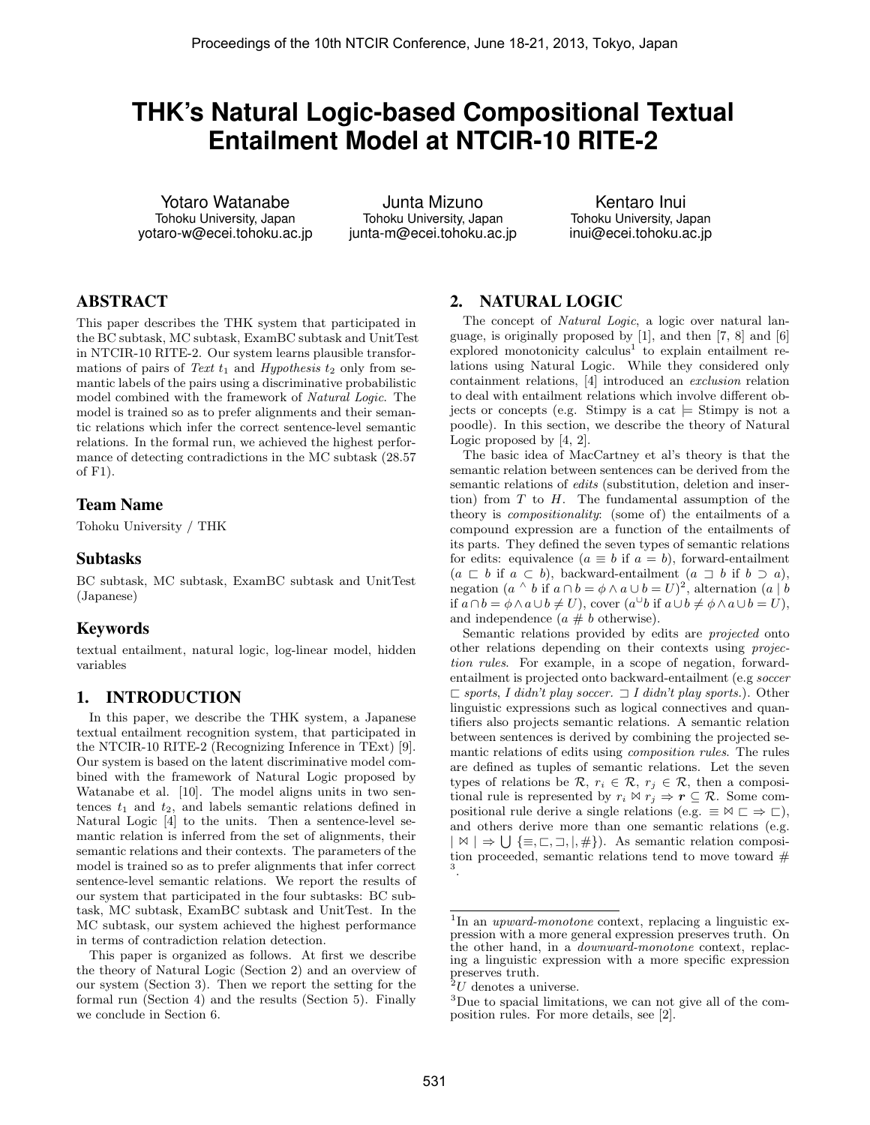# **THK's Natural Logic-based Compositional Textual Entailment Model at NTCIR-10 RITE-2**

Yotaro Watanabe Tohoku University, Japan yotaro-w@ecei.tohoku.ac.jp

Junta Mizuno Tohoku University, Japan junta-m@ecei.tohoku.ac.jp

Kentaro Inui Tohoku University, Japan inui@ecei.tohoku.ac.jp

# ABSTRACT

This paper describes the THK system that participated in the BC subtask, MC subtask, ExamBC subtask and UnitTest in NTCIR-10 RITE-2. Our system learns plausible transformations of pairs of *Text*  $t_1$  and *Hypothesis*  $t_2$  only from semantic labels of the pairs using a discriminative probabilistic model combined with the framework of *Natural Logic*. The model is trained so as to prefer alignments and their semantic relations which infer the correct sentence-level semantic relations. In the formal run, we achieved the highest performance of detecting contradictions in the MC subtask (28.57 of F1).

#### Team Name

Tohoku University / THK

#### Subtasks

BC subtask, MC subtask, ExamBC subtask and UnitTest (Japanese)

## Keywords

textual entailment, natural logic, log-linear model, hidden variables

#### 1. INTRODUCTION

In this paper, we describe the THK system, a Japanese textual entailment recognition system, that participated in the NTCIR-10 RITE-2 (Recognizing Inference in TExt) [9]. Our system is based on the latent discriminative model combined with the framework of Natural Logic proposed by Watanabe et al. [10]. The model aligns units in two sentences  $t_1$  and  $t_2$ , and labels semantic relations defined in Natural Logic [4] to the units. Then a sentence-level semantic relation is inferred from the set of alignments, their semantic relations and their contexts. The parameters of the model is trained so as to prefer alignments that infer correct sentence-level semantic relations. We report the results of our system that participated in the four subtasks: BC subtask, MC subtask, ExamBC subtask and UnitTest. In the MC subtask, our system achieved the highest performance in terms of contradiction relation detection.

This paper is organized as follows. At first we describe the theory of Natural Logic (Section 2) and an overview of our system (Section 3). Then we report the setting for the formal run (Section 4) and the results (Section 5). Finally we conclude in Section 6.

#### 2. NATURAL LOGIC

The concept of *Natural Logic*, a logic over natural language, is originally proposed by [1], and then [7, 8] and [6] explored monotonicity calculus<sup>1</sup> to explain entailment relations using Natural Logic. While they considered only containment relations, [4] introduced an *exclusion* relation to deal with entailment relations which involve different objects or concepts (e.g. Stimpy is a cat *|*= Stimpy is not a poodle). In this section, we describe the theory of Natural Logic proposed by [4, 2].

The basic idea of MacCartney et al's theory is that the semantic relation between sentences can be derived from the semantic relations of *edits* (substitution, deletion and insertion) from *T* to *H*. The fundamental assumption of the theory is *compositionality*: (some of) the entailments of a compound expression are a function of the entailments of its parts. They defined the seven types of semantic relations for edits: equivalence  $(a \equiv b \text{ if } a = b)$ , forward-entailment  $(a \sqsubset b$  if  $a \subset b$ ), backward-entailment  $(a \sqsupset b$  if  $b \supset a$ ), negation  $(a \land b \text{ if } a \cap b = \phi \land a \cup b = U)^2$ , alternation  $(a \mid b$ if  $a \cap b = \phi \land a \cup b \neq U$ , cover  $(a^{\cup}b \text{ if } a \cup b \neq \phi \land a \cup b = U$ , and independence  $(a \# b$  otherwise).

Semantic relations provided by edits are *projected* onto other relations depending on their contexts using *projection rules*. For example, in a scope of negation, forwardentailment is projected onto backward-entailment (e.g *soccer*  $\Box$  *sports*, *I didn't play soccer.*  $\Box$  *I didn't play sports.*). Other linguistic expressions such as logical connectives and quantifiers also projects semantic relations. A semantic relation between sentences is derived by combining the projected semantic relations of edits using *composition rules*. The rules are defined as tuples of semantic relations. Let the seven types of relations be  $\mathcal{R}, r_i \in \mathcal{R}, r_j \in \mathcal{R}$ , then a compositional rule is represented by  $r_i \bowtie r_j \Rightarrow r \subseteq \mathcal{R}$ . Some compositional rule derive a single relations (e.g.  $\equiv \forall \sqsubset \Rightarrow \sqsubset$ ), and others derive more than one semantic relations (e.g. *| ✶ | ⇒* ∪ *{≡, ❁, ❂, |,* #*}*). As semantic relation composition proceeded, semantic relations tend to move toward  $#$ 3 .

<sup>&</sup>lt;sup>1</sup>In an *upward-monotone* context, replacing a linguistic expression with a more general expression preserves truth. On the other hand, in a *downward-monotone* context, replacing a linguistic expression with a more specific expression preserves truth.

 $^{2}U$  denotes a universe.

<sup>3</sup>Due to spacial limitations, we can not give all of the composition rules. For more details, see [2].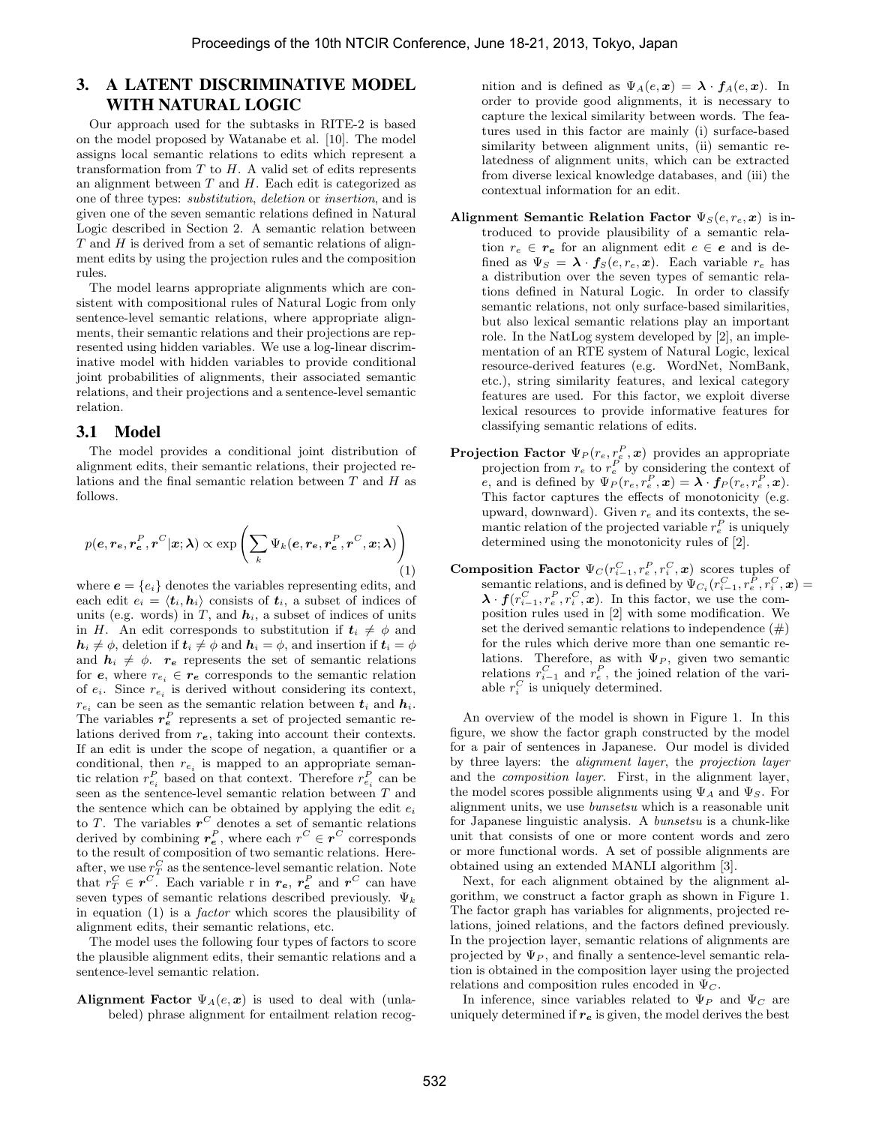# 3. A LATENT DISCRIMINATIVE MODEL WITH NATURAL LOGIC

Our approach used for the subtasks in RITE-2 is based on the model proposed by Watanabe et al. [10]. The model assigns local semantic relations to edits which represent a transformation from *T* to *H*. A valid set of edits represents an alignment between *T* and *H*. Each edit is categorized as one of three types: *substitution*, *deletion* or *insertion*, and is given one of the seven semantic relations defined in Natural Logic described in Section 2. A semantic relation between *T* and *H* is derived from a set of semantic relations of alignment edits by using the projection rules and the composition rules.

The model learns appropriate alignments which are consistent with compositional rules of Natural Logic from only sentence-level semantic relations, where appropriate alignments, their semantic relations and their projections are represented using hidden variables. We use a log-linear discriminative model with hidden variables to provide conditional joint probabilities of alignments, their associated semantic relations, and their projections and a sentence-level semantic relation.

#### 3.1 Model

The model provides a conditional joint distribution of alignment edits, their semantic relations, their projected relations and the final semantic relation between *T* and *H* as follows.

$$
p(e, r_e, r_e^P, r^C | \mathbf{x}; \boldsymbol{\lambda}) \propto \exp \left( \sum_k \Psi_k(e, r_e, r_e^P, r^C, \mathbf{x}; \boldsymbol{\lambda}) \right)
$$
(1)

where  $e = \{e_i\}$  denotes the variables representing edits, and each edit  $e_i = \langle t_i, h_i \rangle$  consists of  $t_i$ , a subset of indices of units (e.g. words) in  $T$ , and  $h_i$ , a subset of indices of units in *H*. An edit corresponds to substitution if  $t_i \neq \phi$  and  $h_i \neq \phi$ , deletion if  $t_i \neq \phi$  and  $h_i = \phi$ , and insertion if  $t_i = \phi$ and  $h_i \neq \phi$ .  $r_e$  represents the set of semantic relations for  $e$ , where  $r_{e_i} \in r_e$  corresponds to the semantic relation of  $e_i$ . Since  $r_{e_i}$  is derived without considering its context,  $r_{e_i}$  can be seen as the semantic relation between  $t_i$  and  $h_i$ . The variables  $r_e^P$  represents a set of projected semantic relations derived from *re*, taking into account their contexts. If an edit is under the scope of negation, a quantifier or a conditional, then  $r_{e_i}$  is mapped to an appropriate semantic relation  $r_{e_i}^P$  based on that context. Therefore  $r_{e_i}^P$  can be seen as the sentence-level semantic relation between *T* and the sentence which can be obtained by applying the edit *e<sup>i</sup>* to *T*. The variables  $r^C$  denotes a set of semantic relations derived by combining  $r_e^P$ , where each  $r^C \in r^C$  corresponds to the result of composition of two semantic relations. Hereafter, we use  $r_T^C$  as the sentence-level semantic relation. Note that  $r_T^C \in \mathbf{r}^C$ . Each variable r in  $r_e$ ,  $r_e^P$  and  $\mathbf{r}^C$  can have seven types of semantic relations described previously.  $\Psi_k$ in equation (1) is a *factor* which scores the plausibility of alignment edits, their semantic relations, etc.

The model uses the following four types of factors to score the plausible alignment edits, their semantic relations and a sentence-level semantic relation.

**Alignment Factor**  $\Psi_A(e, x)$  is used to deal with (unlabeled) phrase alignment for entailment relation recognition and is defined as  $\Psi_A(e, x) = \lambda \cdot f_A(e, x)$ . In order to provide good alignments, it is necessary to capture the lexical similarity between words. The features used in this factor are mainly (i) surface-based similarity between alignment units, (ii) semantic relatedness of alignment units, which can be extracted from diverse lexical knowledge databases, and (iii) the contextual information for an edit.

- **Alignment Semantic Relation Factor**  $\Psi_S(e, r_e, x)$  is introduced to provide plausibility of a semantic relation  $r_e \in r_e$  for an alignment edit  $e \in e$  and is defined as  $\Psi_S = \lambda \cdot f_S(e, r_e, x)$ . Each variable  $r_e$  has a distribution over the seven types of semantic relations defined in Natural Logic. In order to classify semantic relations, not only surface-based similarities, but also lexical semantic relations play an important role. In the NatLog system developed by [2], an implementation of an RTE system of Natural Logic, lexical resource-derived features (e.g. WordNet, NomBank, etc.), string similarity features, and lexical category features are used. For this factor, we exploit diverse lexical resources to provide informative features for classifying semantic relations of edits.
- **Projection Factor**  $\Psi_P(r_e, r_e^P, x)$  provides an appropriate projection from  $r_e$  to  $r_e^P$  by considering the context of *e*, and is defined by  $\Psi_P(r_e, r_e^P, \mathbf{x}) = \lambda \cdot \mathbf{f}_P(r_e, r_e^P, \mathbf{x})$ . This factor captures the effects of monotonicity (e.g. upward, downward). Given *r<sup>e</sup>* and its contexts, the semantic relation of the projected variable  $r_e^P$  is uniquely determined using the monotonicity rules of [2].
- **Composition Factor**  $\Psi_C(r_{i-1}^C, r_e^P, r_i^C, \boldsymbol{x})$  scores tuples of semantic relations, and is defined by  $\Psi_{C_i}(r_{i-1}^C, r_e^P, r_i^C, \mathbf{x}) =$  $\lambda \cdot f(r_{i-1}^C, r_i^C, x)$ . In this factor, we use the composition rules used in [2] with some modification. We set the derived semantic relations to independence  $(\#)$ for the rules which derive more than one semantic relations. Therefore, as with  $\Psi_P$ , given two semantic relations  $r_{i-1}^C$  and  $r_e^P$ , the joined relation of the variable  $r_i^C$  is uniquely determined.

An overview of the model is shown in Figure 1. In this figure, we show the factor graph constructed by the model for a pair of sentences in Japanese. Our model is divided by three layers: the *alignment layer*, the *projection layer* and the *composition layer*. First, in the alignment layer, the model scores possible alignments using  $\Psi_A$  and  $\Psi_S$ . For alignment units, we use *bunsetsu* which is a reasonable unit for Japanese linguistic analysis. A *bunsetsu* is a chunk-like unit that consists of one or more content words and zero or more functional words. A set of possible alignments are obtained using an extended MANLI algorithm [3].

Next, for each alignment obtained by the alignment algorithm, we construct a factor graph as shown in Figure 1. The factor graph has variables for alignments, projected relations, joined relations, and the factors defined previously. In the projection layer, semantic relations of alignments are projected by  $\Psi_P$ , and finally a sentence-level semantic relation is obtained in the composition layer using the projected relations and composition rules encoded in  $\Psi_C$ .

In inference, since variables related to  $\Psi_P$  and  $\Psi_C$  are uniquely determined if  $r_e$  is given, the model derives the best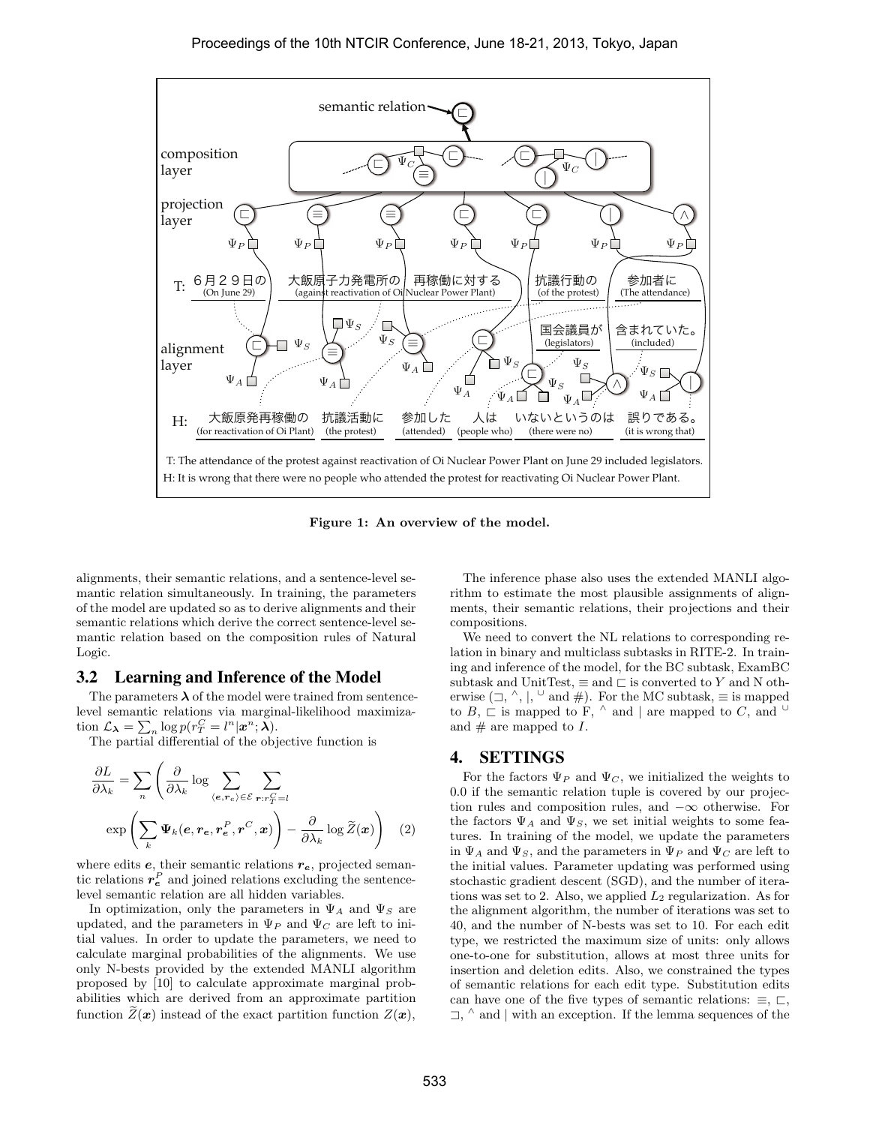

**Figure 1: An overview of the model.**

alignments, their semantic relations, and a sentence-level semantic relation simultaneously. In training, the parameters of the model are updated so as to derive alignments and their semantic relations which derive the correct sentence-level semantic relation based on the composition rules of Natural Logic.

#### 3.2 Learning and Inference of the Model

The parameters  $\lambda$  of the model were trained from sentencelevel semantic relations via marginal-likelihood maximization  $\mathcal{L}_{\lambda} = \sum_{n} \log p(r_T^C = l^n | \mathbf{x}^n; \bar{\lambda}).$ 

The partial differential of the objective function is

$$
\frac{\partial L}{\partial \lambda_k} = \sum_n \left( \frac{\partial}{\partial \lambda_k} \log \sum_{\langle e, r_e \rangle \in \mathcal{E}} \sum_{\mathbf{r}: r_T^C = l} \exp \left( \sum_k \Psi_k(e, r_e, r_e^P, r^C, x) \right) - \frac{\partial}{\partial \lambda_k} \log \widetilde{Z}(\mathbf{x}) \right) \tag{2}
$$

where edits *e*, their semantic relations *re*, projected semantic relations  $r_e^P$  and joined relations excluding the sentencelevel semantic relation are all hidden variables.

In optimization, only the parameters in Ψ*<sup>A</sup>* and Ψ*<sup>S</sup>* are updated, and the parameters in  $\Psi_P$  and  $\Psi_C$  are left to initial values. In order to update the parameters, we need to calculate marginal probabilities of the alignments. We use only N-bests provided by the extended MANLI algorithm proposed by [10] to calculate approximate marginal probabilities which are derived from an approximate partition function  $\widetilde{Z}(\boldsymbol{x})$  instead of the exact partition function  $Z(\boldsymbol{x})$ ,

The inference phase also uses the extended MANLI algorithm to estimate the most plausible assignments of alignments, their semantic relations, their projections and their compositions.

We need to convert the NL relations to corresponding relation in binary and multiclass subtasks in RITE-2. In training and inference of the model, for the BC subtask, ExamBC subtask and UnitTest,  $\equiv$  and  $\sqsubset$  is converted to *Y* and N otherwise  $(\Box, \land, |, \Box \text{ and } \#)$ . For the MC subtask,  $\equiv$  is mapped to  $B, \sqsubset$  is mapped to F,  $\land$  and  $|$  are mapped to  $C$ , and  $\cup$ and  $#$  are mapped to  $I$ .

### 4. SETTINGS

For the factors  $\Psi_P$  and  $\Psi_C$ , we initialized the weights to 0*.*0 if the semantic relation tuple is covered by our projection rules and composition rules, and *−∞* otherwise. For the factors  $\Psi_A$  and  $\Psi_S$ , we set initial weights to some features. In training of the model, we update the parameters in  $\Psi_A$  and  $\Psi_S$ , and the parameters in  $\Psi_P$  and  $\Psi_C$  are left to the initial values. Parameter updating was performed using stochastic gradient descent (SGD), and the number of iterations was set to 2. Also, we applied *L*<sup>2</sup> regularization. As for the alignment algorithm, the number of iterations was set to 40, and the number of N-bests was set to 10. For each edit type, we restricted the maximum size of units: only allows one-to-one for substitution, allows at most three units for insertion and deletion edits. Also, we constrained the types of semantic relations for each edit type. Substitution edits can have one of the five types of semantic relations:  $\equiv$ ,  $\sqsubset$ , *❂*, *∧* and *|* with an exception. If the lemma sequences of the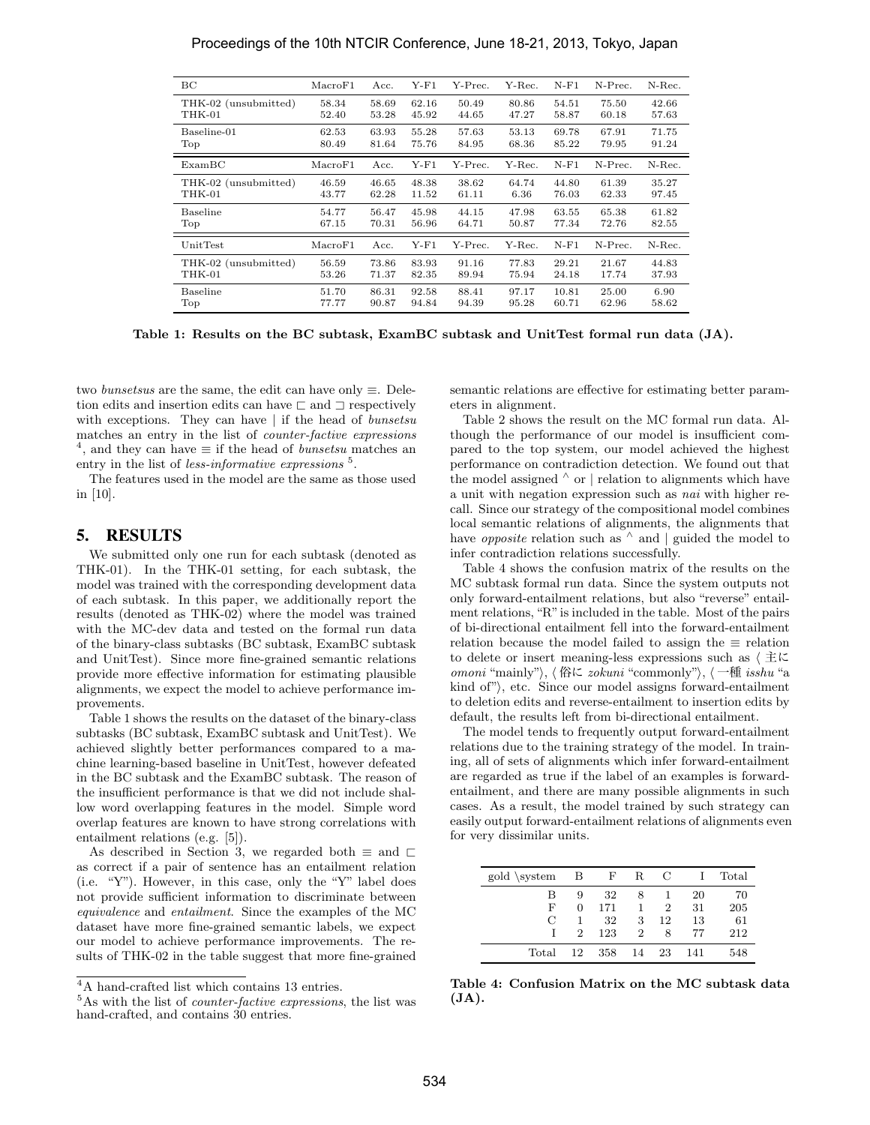| BС                   | MacroF1 | Acc.  | $Y$ -F1 | Y-Prec. | Y-Rec. | $N-F1$ | N-Prec. | N-Rec. |
|----------------------|---------|-------|---------|---------|--------|--------|---------|--------|
| THK-02 (unsubmitted) | 58.34   | 58.69 | 62.16   | 50.49   | 80.86  | 54.51  | 75.50   | 42.66  |
| THK-01               | 52.40   | 53.28 | 45.92   | 44.65   | 47.27  | 58.87  | 60.18   | 57.63  |
| Baseline-01          | 62.53   | 63.93 | 55.28   | 57.63   | 53.13  | 69.78  | 67.91   | 71.75  |
| Top                  | 80.49   | 81.64 | 75.76   | 84.95   | 68.36  | 85.22  | 79.95   | 91.24  |
| ExampleC             | MacroF1 | Acc.  | $Y-F1$  | Y-Prec. | Y-Rec. | $N-F1$ | N-Prec. | N-Rec. |
| THK-02 (unsubmitted) | 46.59   | 46.65 | 48.38   | 38.62   | 64.74  | 44.80  | 61.39   | 35.27  |
| THK-01               | 43.77   | 62.28 | 11.52   | 61.11   | 6.36   | 76.03  | 62.33   | 97.45  |
| Baseline             | 54.77   | 56.47 | 45.98   | 44.15   | 47.98  | 63.55  | 65.38   | 61.82  |
| Top                  | 67.15   | 70.31 | 56.96   | 64.71   | 50.87  | 77.34  | 72.76   | 82.55  |
| UnitTest             | MacroF1 | Acc.  | $Y-F1$  | Y-Prec. | Y-Rec. | $N-F1$ | N-Prec. | N-Rec. |
| THK-02 (unsubmitted) | 56.59   | 73.86 | 83.93   | 91.16   | 77.83  | 29.21  | 21.67   | 44.83  |
| THK-01               | 53.26   | 71.37 | 82.35   | 89.94   | 75.94  | 24.18  | 17.74   | 37.93  |
| Baseline             | 51.70   | 86.31 | 92.58   | 88.41   | 97.17  | 10.81  | 25.00   | 6.90   |
| Top                  | 77.77   | 90.87 | 94.84   | 94.39   | 95.28  | 60.71  | 62.96   | 58.62  |

**Table 1: Results on the BC subtask, ExamBC subtask and UnitTest formal run data (JA).**

two *bunsetsus* are the same, the edit can have only *≡*. Deletion edits and insertion edits can have  $\Box$  and  $\Box$  respectively with exceptions. They can have *|* if the head of *bunsetsu* matches an entry in the list of *counter-factive expressions* 4 , and they can have *≡* if the head of *bunsetsu* matches an entry in the list of *less-informative expressions*<sup>5</sup>.

The features used in the model are the same as those used in [10].

#### 5. RESULTS

We submitted only one run for each subtask (denoted as THK-01). In the THK-01 setting, for each subtask, the model was trained with the corresponding development data of each subtask. In this paper, we additionally report the results (denoted as THK-02) where the model was trained with the MC-dev data and tested on the formal run data of the binary-class subtasks (BC subtask, ExamBC subtask and UnitTest). Since more fine-grained semantic relations provide more effective information for estimating plausible alignments, we expect the model to achieve performance improvements.

Table 1 shows the results on the dataset of the binary-class subtasks (BC subtask, ExamBC subtask and UnitTest). We achieved slightly better performances compared to a machine learning-based baseline in UnitTest, however defeated in the BC subtask and the ExamBC subtask. The reason of the insufficient performance is that we did not include shallow word overlapping features in the model. Simple word overlap features are known to have strong correlations with entailment relations (e.g. [5]).

As described in Section 3, we regarded both  $\equiv$  and  $\sqsubset$ as correct if a pair of sentence has an entailment relation (i.e. "Y"). However, in this case, only the "Y" label does not provide sufficient information to discriminate between *equivalence* and *entailment*. Since the examples of the MC dataset have more fine-grained semantic labels, we expect our model to achieve performance improvements. The results of THK-02 in the table suggest that more fine-grained semantic relations are effective for estimating better parameters in alignment.

Table 2 shows the result on the MC formal run data. Although the performance of our model is insufficient compared to the top system, our model achieved the highest performance on contradiction detection. We found out that the model assigned *<sup>∧</sup>* or *|* relation to alignments which have a unit with negation expression such as *nai* with higher recall. Since our strategy of the compositional model combines local semantic relations of alignments, the alignments that have *opposite* relation such as *<sup>∧</sup>* and *|* guided the model to infer contradiction relations successfully.

Table 4 shows the confusion matrix of the results on the MC subtask formal run data. Since the system outputs not only forward-entailment relations, but also "reverse" entailment relations, "R"is included in the table. Most of the pairs of bi-directional entailment fell into the forward-entailment relation because the model failed to assign the *≡* relation to delete or insert meaning-less expressions such as *⟨* 主に *omoni* "mainly"*⟩*, *⟨* 俗に *zokuni* "commonly"*⟩*, *⟨* 一種 *isshu* "a kind of", etc. Since our model assigns forward-entailment to deletion edits and reverse-entailment to insertion edits by default, the results left from bi-directional entailment.

The model tends to frequently output forward-entailment relations due to the training strategy of the model. In training, all of sets of alignments which infer forward-entailment are regarded as true if the label of an examples is forwardentailment, and there are many possible alignments in such cases. As a result, the model trained by such strategy can easily output forward-entailment relations of alignments even for very dissimilar units.

| gold \system  |                | B F | $\mathbf R$ | $\mathbf C$    |     | Total |
|---------------|----------------|-----|-------------|----------------|-----|-------|
| В             | 9              | -32 | 8           |                | 20  | 70    |
| F             | $\Omega$       | 171 | 1           | $\overline{2}$ | 31  | 205   |
| $\mathcal{C}$ |                | 32  | 3           | 12             | 13  | 61    |
|               | $\overline{2}$ | 123 | 2           | 8              | 77  | 212   |
| Total         | 12             | 358 | 14          | 23             | 141 | 548   |

**Table 4: Confusion Matrix on the MC subtask data (JA).**

<sup>4</sup>A hand-crafted list which contains 13 entries.

<sup>5</sup>As with the list of *counter-factive expressions*, the list was hand-crafted, and contains  $30$  entries.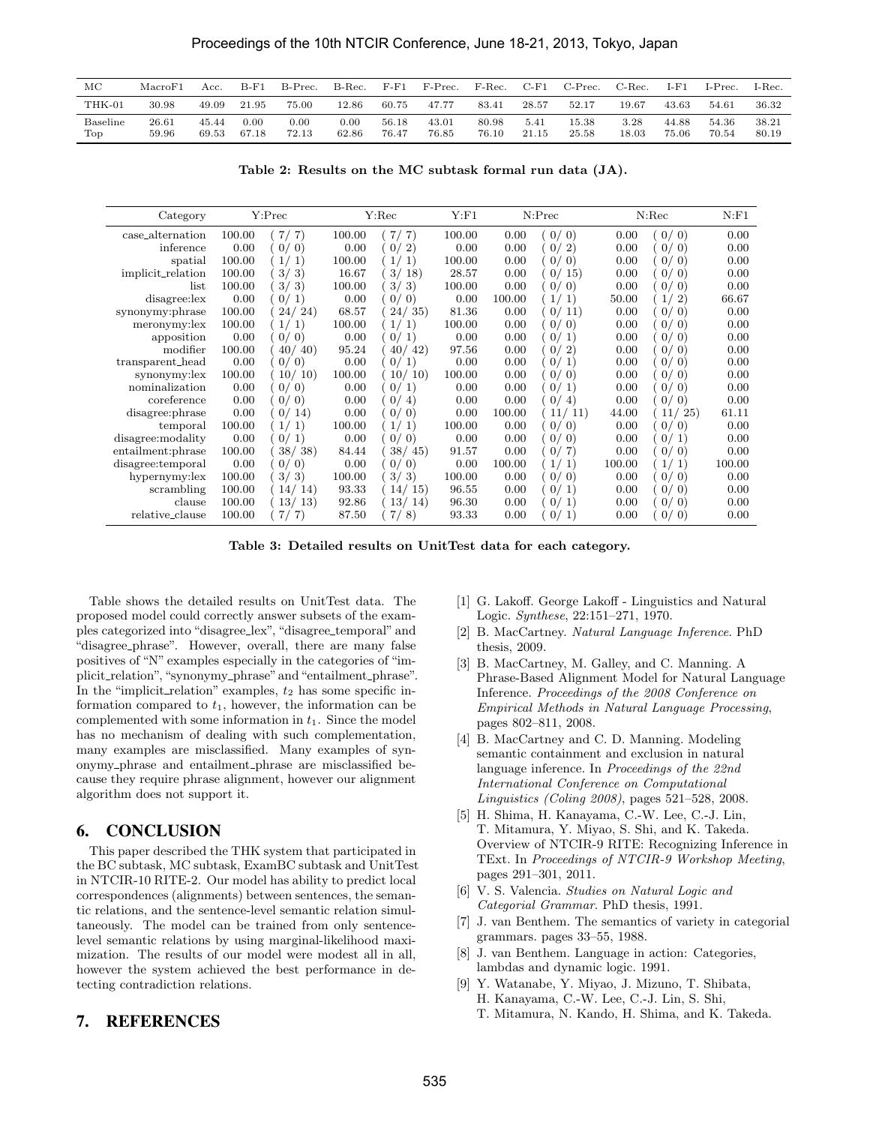| МC              | MacroF1        | Acc.           | $B-F1$        | B-Prec.       | B-Rec.        | $F-F1$         | F-Prec.        | $F-Rec.$       | $C$ -F1       | $C-Prec.$      | C-Rec.        | $I-F1$         | $I-Prec.$      | I-Rec.         |
|-----------------|----------------|----------------|---------------|---------------|---------------|----------------|----------------|----------------|---------------|----------------|---------------|----------------|----------------|----------------|
| THK-01          | 30.98          | 49.09          | 21.95         | 75.00         | 12.86         | 60.75          | 47.77          | 83.41          | 28.57         | 52.17          | 19.67         | 43.63          | 54.61          | 36.32          |
| Baseline<br>Top | 26.61<br>59.96 | 45.44<br>69.53 | 0.00<br>67.18 | 0.00<br>72.13 | 0.00<br>62.86 | 56.18<br>76.47 | 43.01<br>76.85 | 80.98<br>76.10 | 5.41<br>21.15 | 15.38<br>25.58 | 3.28<br>18.03 | 44.88<br>75.06 | 54.36<br>70.54 | 38.21<br>80.19 |

**Table 2: Results on the MC subtask formal run data (JA).**

| Category          |        | Y:Prec                     |        | Y:Rec                   |        |        | N:Prec                         |        | N:Rec                   |        |
|-------------------|--------|----------------------------|--------|-------------------------|--------|--------|--------------------------------|--------|-------------------------|--------|
| case_alternation  | 100.00 | -7<br>7/                   | 100.00 | 7/<br>-7)               | 100.00 | 0.00   | 0/0                            | 0.00   | 0/0                     | 0.00   |
| inference         | 0.00   | $\left( 0\right)$<br>0/    | 0.00   | 0/2)                    | 0.00   | 0.00   | -2)<br>0/                      | 0.00   | 0/0                     | 0.00   |
| spatial           | 100.00 | 1                          | 100.00 | <sup>1</sup>            | 100.00 | 0.00   | $\vert$ 0)<br>0/               | 0.00   | (0)<br>0/               | 0.00   |
| implicit_relation | 100.00 | 3/<br>$\mathbf{3}^{\circ}$ | 16.67  | 3/18                    | 28.57  | 0.00   | 15)<br>0/                      | 0.00   | 0/<br>$\left( 0\right)$ | 0.00   |
| list              | 100.00 | 3/<br>-3                   | 100.00 | 3/3)                    | 100.00 | 0.00   | $\vert$ 0)<br>0/               | 0.00   | 0/<br>$\vert$ 0)        | 0.00   |
| disagree: lex     | 0.00   | 0/<br>$\mathbf{1}^{\circ}$ | 0.00   | $\left( 0\right)$<br>0/ | 0.00   | 100.00 | 1/1)                           | 50.00  | 1/<br>$^{\prime}2)$     | 66.67  |
| synonymy:phrase   | 100.00 | 24)<br>24/                 | 68.57  | 24/35                   | 81.36  | 0.00   | 11)<br>0/                      | 0.00   | 0/<br>(0)               | 0.00   |
| meronymy: lex     | 100.00 | 1/<br>$\perp$              | 100.00 | 1/<br>-1)               | 100.00 | 0.00   | 0/0                            | 0.00   | 0/0                     | 0.00   |
| apposition        | 0.00   | $\left( 0\right)$<br>0/    | 0.00   | 0/1)                    | 0.00   | 0.00   | 0/<br>$\vert 1 \rangle$        | 0.00   | 0/<br>$\left( 0\right)$ | 0.00   |
| modifier          | 100.00 | 40/<br>(40)                | 95.24  | 40/<br>42)              | 97.56  | 0.00   | 0/<br>$\left 2\right\rangle$   | 0.00   | 0/0                     | 0.00   |
| transparent_head  | 0.00   | 0/0                        | 0.00   | 0/<br><sup>1</sup>      | 0.00   | 0.00   | 0/<br>$\vert 1 \rangle$        | 0.00   | 0/<br>$\left( 0\right)$ | 0.00   |
| synonymy: lex     | 100.00 | 10/<br>10)                 | 100.00 | 10/<br>10)              | 100.00 | 0.00   | 0/0                            | 0.00   | 0/0                     | 0.00   |
| nominalization    | 0.00   | (0)<br>0/                  | 0.00   | 0/<br>-1)               | 0.00   | 0.00   | 0/<br>$\vert 1 \rangle$        | 0.00   | 0/<br>$\vert$ 0)        | 0.00   |
| coreference       | 0.00   | (0)<br>0/                  | 0.00   | 0/<br>4)                | 0.00   | 0.00   | 0/<br>4)                       | 0.00   | 0/<br>$\vert$ 0)        | 0.00   |
| disagree: phrase  | 0.00   | 14)<br>0/                  | 0.00   | 0/<br>$\vert$ 0)        | 0.00   | 100.00 | 11/11                          | 44.00  | 11/<br>25)              | 61.11  |
| temporal          | 100.00 | 1/1                        | 100.00 | $\vert 1)$<br>1/        | 100.00 | 0.00   | 0/0                            | 0.00   | 0/0                     | 0.00   |
| disagree:modality | 0.00   | 0/<br>1)                   | 0.00   | $\vert$ 0)<br>0/        | 0.00   | 0.00   | $\left( 0\right)$<br>0/        | 0.00   | 0/1                     | 0.00   |
| entailment:phrase | 100.00 | 38/38                      | 84.44  | 38/<br>45)              | 91.57  | 0.00   | 0/<br>-7                       | 0.00   | 0/<br>$\vert$ 0)        | 0.00   |
| disagree:temporal | 0.00   | 0/<br>$\left( 0 \right)$   | 0.00   | 0/<br>$\vert$ 0)        | 0.00   | 100.00 | 1/1                            | 100.00 | 1/<br>'1                | 100.00 |
| hypernymy: lex    | 100.00 | 3/3                        | 100.00 | 3/3)                    | 100.00 | 0.00   | 0/<br>$\left( 0\right)$        | 0.00   | 0/<br>$\vert$ 0)        | 0.00   |
| scrambling        | 100.00 | 14/<br>14)                 | 93.33  | 14/<br>15)              | 96.55  | 0.00   | 0/<br>$\lceil 1 \rceil$        | 0.00   | 0/<br>$\vert$ 0)        | 0.00   |
| clause            | 100.00 | 13/13                      | 92.86  | 13/14                   | 96.30  | 0.00   | 0/1)                           | 0.00   | 0/0                     | 0.00   |
| relative_clause   | 100.00 | 7 <sub>1</sub><br>-7)      | 87.50  | 7 <sub>1</sub><br>8)    | 93.33  | 0.00   | 0 <sub>l</sub><br>$\mathbf{1}$ | 0.00   | 0/<br>$\vert$ 0)        | 0.00   |

**Table 3: Detailed results on UnitTest data for each category.**

Table shows the detailed results on UnitTest data. The proposed model could correctly answer subsets of the examples categorized into "disagree lex", "disagree temporal" and "disagree phrase". However, overall, there are many false positives of "N" examples especially in the categories of "implicit\_relation", "synonymy\_phrase" and "entailment\_phrase". In the "implicit\_relation" examples,  $t_2$  has some specific information compared to *t*1, however, the information can be complemented with some information in *t*1. Since the model has no mechanism of dealing with such complementation, many examples are misclassified. Many examples of synonymy phrase and entailment phrase are misclassified because they require phrase alignment, however our alignment algorithm does not support it.

## 6. CONCLUSION

This paper described the THK system that participated in the BC subtask, MC subtask, ExamBC subtask and UnitTest in NTCIR-10 RITE-2. Our model has ability to predict local correspondences (alignments) between sentences, the semantic relations, and the sentence-level semantic relation simultaneously. The model can be trained from only sentencelevel semantic relations by using marginal-likelihood maximization. The results of our model were modest all in all, however the system achieved the best performance in detecting contradiction relations.

#### [1] G. Lakoff. George Lakoff - Linguistics and Natural Logic. *Synthese*, 22:151–271, 1970.

- [2] B. MacCartney. *Natural Language Inference*. PhD thesis, 2009.
- [3] B. MacCartney, M. Galley, and C. Manning. A Phrase-Based Alignment Model for Natural Language Inference. *Proceedings of the 2008 Conference on Empirical Methods in Natural Language Processing*, pages 802–811, 2008.
- [4] B. MacCartney and C. D. Manning. Modeling semantic containment and exclusion in natural language inference. In *Proceedings of the 22nd International Conference on Computational Linguistics (Coling 2008)*, pages 521–528, 2008.
- [5] H. Shima, H. Kanayama, C.-W. Lee, C.-J. Lin, T. Mitamura, Y. Miyao, S. Shi, and K. Takeda. Overview of NTCIR-9 RITE: Recognizing Inference in TExt. In *Proceedings of NTCIR-9 Workshop Meeting*, pages 291–301, 2011.
- [6] V. S. Valencia. *Studies on Natural Logic and Categorial Grammar*. PhD thesis, 1991.
- [7] J. van Benthem. The semantics of variety in categorial grammars. pages 33–55, 1988.
- [8] J. van Benthem. Language in action: Categories, lambdas and dynamic logic. 1991.
- [9] Y. Watanabe, Y. Miyao, J. Mizuno, T. Shibata, H. Kanayama, C.-W. Lee, C.-J. Lin, S. Shi,
	- T. Mitamura, N. Kando, H. Shima, and K. Takeda.

# 7. REFERENCES